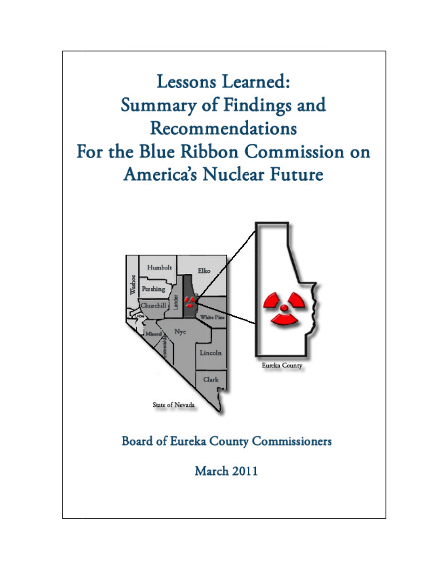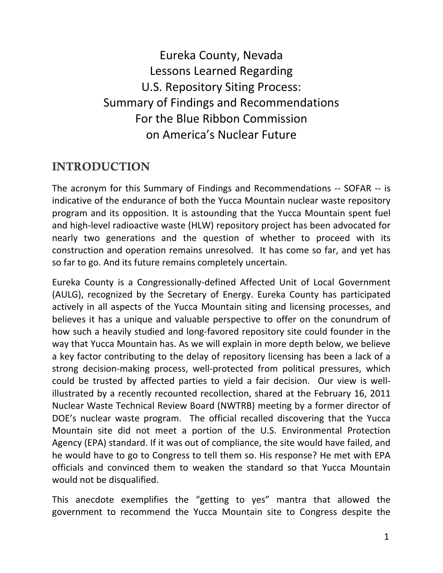Eureka County, Nevada Lessons Learned Regarding U.S. Repository Siting Process: Summary of Findings and Recommendations For the Blue Ribbon Commission on America's Nuclear Future

## INTRODUCTION

The acronym for this Summary of Findings and Recommendations ‐‐ SOFAR ‐‐ is indicative of the endurance of both the Yucca Mountain nuclear waste repository program and its opposition. It is astounding that the Yucca Mountain spent fuel and high‐level radioactive waste (HLW) repository project has been advocated for nearly two generations and the question of whether to proceed with its construction and operation remains unresolved. It has come so far, and yet has so far to go. And its future remains completely uncertain.

Eureka County is a Congressionally‐defined Affected Unit of Local Government (AULG), recognized by the Secretary of Energy. Eureka County has participated actively in all aspects of the Yucca Mountain siting and licensing processes, and believes it has a unique and valuable perspective to offer on the conundrum of how such a heavily studied and long‐favored repository site could founder in the way that Yucca Mountain has. As we will explain in more depth below, we believe a key factor contributing to the delay of repository licensing has been a lack of a strong decision‐making process, well‐protected from political pressures, which could be trusted by affected parties to yield a fair decision. Our view is well‐ illustrated by a recently recounted recollection, shared at the February 16, 2011 Nuclear Waste Technical Review Board (NWTRB) meeting by a former director of DOE's nuclear waste program. The official recalled discovering that the Yucca Mountain site did not meet a portion of the U.S. Environmental Protection Agency (EPA) standard. If it was out of compliance, the site would have failed, and he would have to go to Congress to tell them so. His response? He met with EPA officials and convinced them to weaken the standard so that Yucca Mountain would not be disqualified.

This anecdote exemplifies the "getting to yes" mantra that allowed the government to recommend the Yucca Mountain site to Congress despite the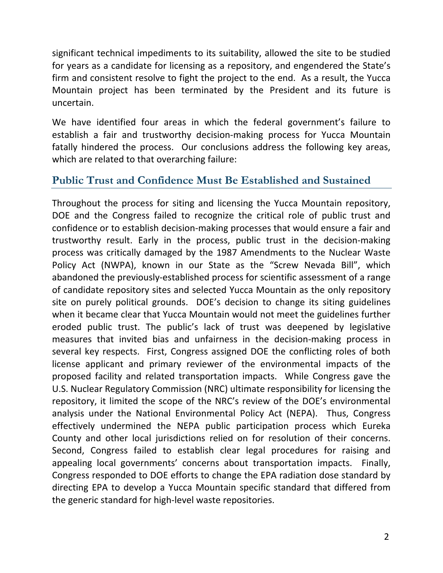significant technical impediments to its suitability, allowed the site to be studied for years as a candidate for licensing as a repository, and engendered the State's firm and consistent resolve to fight the project to the end. As a result, the Yucca Mountain project has been terminated by the President and its future is uncertain.

We have identified four areas in which the federal government's failure to establish a fair and trustworthy decision‐making process for Yucca Mountain fatally hindered the process. Our conclusions address the following key areas, which are related to that overarching failure:

#### **Public Trust and Confidence Must Be Established and Sustained**

Throughout the process for siting and licensing the Yucca Mountain repository, DOE and the Congress failed to recognize the critical role of public trust and confidence or to establish decision‐making processes that would ensure a fair and trustworthy result. Early in the process, public trust in the decision‐making process was critically damaged by the 1987 Amendments to the Nuclear Waste Policy Act (NWPA), known in our State as the "Screw Nevada Bill", which abandoned the previously‐established process for scientific assessment of a range of candidate repository sites and selected Yucca Mountain as the only repository site on purely political grounds. DOE's decision to change its siting guidelines when it became clear that Yucca Mountain would not meet the guidelines further eroded public trust. The public's lack of trust was deepened by legislative measures that invited bias and unfairness in the decision‐making process in several key respects. First, Congress assigned DOE the conflicting roles of both license applicant and primary reviewer of the environmental impacts of the proposed facility and related transportation impacts. While Congress gave the U.S. Nuclear Regulatory Commission (NRC) ultimate responsibility for licensing the repository, it limited the scope of the NRC's review of the DOE's environmental analysis under the National Environmental Policy Act (NEPA). Thus, Congress effectively undermined the NEPA public participation process which Eureka County and other local jurisdictions relied on for resolution of their concerns. Second, Congress failed to establish clear legal procedures for raising and appealing local governments' concerns about transportation impacts. Finally, Congress responded to DOE efforts to change the EPA radiation dose standard by directing EPA to develop a Yucca Mountain specific standard that differed from the generic standard for high‐level waste repositories.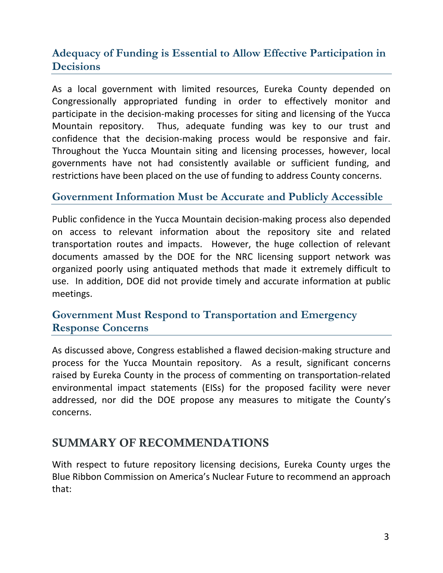#### **Adequacy of Funding is Essential to Allow Effective Participation in Decisions**

As a local government with limited resources, Eureka County depended on Congressionally appropriated funding in order to effectively monitor and participate in the decision‐making processes for siting and licensing of the Yucca Mountain repository. Thus, adequate funding was key to our trust and confidence that the decision‐making process would be responsive and fair. Throughout the Yucca Mountain siting and licensing processes, however, local governments have not had consistently available or sufficient funding, and restrictions have been placed on the use of funding to address County concerns.

#### **Government Information Must be Accurate and Publicly Accessible**

Public confidence in the Yucca Mountain decision‐making process also depended on access to relevant information about the repository site and related transportation routes and impacts. However, the huge collection of relevant documents amassed by the DOE for the NRC licensing support network was organized poorly using antiquated methods that made it extremely difficult to use. In addition, DOE did not provide timely and accurate information at public meetings.

#### **Government Must Respond to Transportation and Emergency Response Concerns**

As discussed above, Congress established a flawed decision‐making structure and process for the Yucca Mountain repository. As a result, significant concerns raised by Eureka County in the process of commenting on transportation‐related environmental impact statements (EISs) for the proposed facility were never addressed, nor did the DOE propose any measures to mitigate the County's concerns.

#### SUMMARY OF RECOMMENDATIONS

With respect to future repository licensing decisions, Eureka County urges the Blue Ribbon Commission on America's Nuclear Future to recommend an approach that: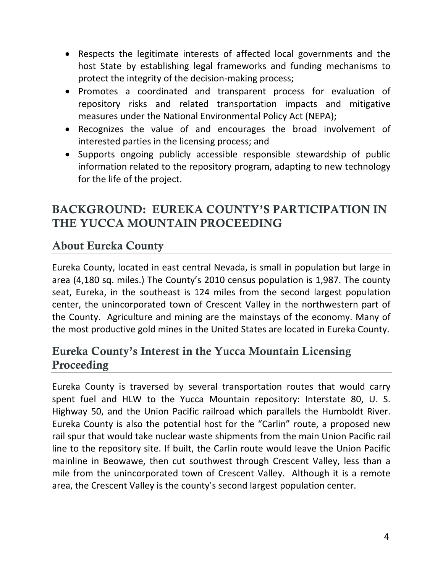- Respects the legitimate interests of affected local governments and the host State by establishing legal frameworks and funding mechanisms to protect the integrity of the decision‐making process;
- Promotes a coordinated and transparent process for evaluation of repository risks and related transportation impacts and mitigative measures under the National Environmental Policy Act (NEPA);
- Recognizes the value of and encourages the broad involvement of interested parties in the licensing process; and
- Supports ongoing publicly accessible responsible stewardship of public information related to the repository program, adapting to new technology for the life of the project.

# BACKGROUND: EUREKA COUNTY'S PARTICIPATION IN THE YUCCA MOUNTAIN PROCEEDING

# About Eureka County

Eureka County, located in east central Nevada, is small in population but large in area (4,180 sq. miles.) The County's 2010 census population is 1,987. The county seat, Eureka, in the southeast is 124 miles from the second largest population center, the unincorporated town of Crescent Valley in the northwestern part of the County. Agriculture and mining are the mainstays of the economy. Many of the most productive gold mines in the United States are located in Eureka County.

# Eureka County's Interest in the Yucca Mountain Licensing Proceeding

Eureka County is traversed by several transportation routes that would carry spent fuel and HLW to the Yucca Mountain repository: Interstate 80, U. S. Highway 50, and the Union Pacific railroad which parallels the Humboldt River. Eureka County is also the potential host for the "Carlin" route, a proposed new rail spur that would take nuclear waste shipments from the main Union Pacific rail line to the repository site. If built, the Carlin route would leave the Union Pacific mainline in Beowawe, then cut southwest through Crescent Valley, less than a mile from the unincorporated town of Crescent Valley. Although it is a remote area, the Crescent Valley is the county's second largest population center.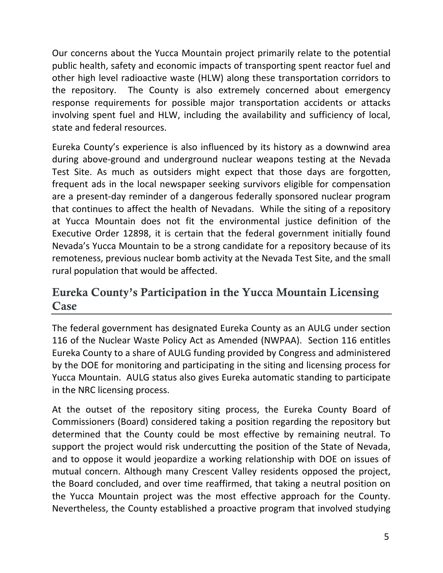Our concerns about the Yucca Mountain project primarily relate to the potential public health, safety and economic impacts of transporting spent reactor fuel and other high level radioactive waste (HLW) along these transportation corridors to the repository. The County is also extremely concerned about emergency response requirements for possible major transportation accidents or attacks involving spent fuel and HLW, including the availability and sufficiency of local, state and federal resources.

Eureka County's experience is also influenced by its history as a downwind area during above‐ground and underground nuclear weapons testing at the Nevada Test Site. As much as outsiders might expect that those days are forgotten, frequent ads in the local newspaper seeking survivors eligible for compensation are a present‐day reminder of a dangerous federally sponsored nuclear program that continues to affect the health of Nevadans. While the siting of a repository at Yucca Mountain does not fit the environmental justice definition of the Executive Order 12898, it is certain that the federal government initially found Nevada's Yucca Mountain to be a strong candidate for a repository because of its remoteness, previous nuclear bomb activity at the Nevada Test Site, and the small rural population that would be affected.

# Eureka County's Participation in the Yucca Mountain Licensing Case

The federal government has designated Eureka County as an AULG under section 116 of the Nuclear Waste Policy Act as Amended (NWPAA). Section 116 entitles Eureka County to a share of AULG funding provided by Congress and administered by the DOE for monitoring and participating in the siting and licensing process for Yucca Mountain. AULG status also gives Eureka automatic standing to participate in the NRC licensing process.

At the outset of the repository siting process, the Eureka County Board of Commissioners (Board) considered taking a position regarding the repository but determined that the County could be most effective by remaining neutral. To support the project would risk undercutting the position of the State of Nevada, and to oppose it would jeopardize a working relationship with DOE on issues of mutual concern. Although many Crescent Valley residents opposed the project, the Board concluded, and over time reaffirmed, that taking a neutral position on the Yucca Mountain project was the most effective approach for the County. Nevertheless, the County established a proactive program that involved studying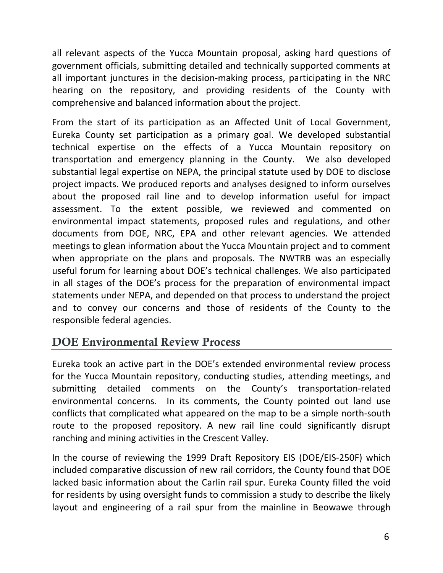all relevant aspects of the Yucca Mountain proposal, asking hard questions of government officials, submitting detailed and technically supported comments at all important junctures in the decision‐making process, participating in the NRC hearing on the repository, and providing residents of the County with comprehensive and balanced information about the project.

From the start of its participation as an Affected Unit of Local Government, Eureka County set participation as a primary goal. We developed substantial technical expertise on the effects of a Yucca Mountain repository on transportation and emergency planning in the County. We also developed substantial legal expertise on NEPA, the principal statute used by DOE to disclose project impacts. We produced reports and analyses designed to inform ourselves about the proposed rail line and to develop information useful for impact assessment. To the extent possible, we reviewed and commented on environmental impact statements, proposed rules and regulations, and other documents from DOE, NRC, EPA and other relevant agencies. We attended meetings to glean information about the Yucca Mountain project and to comment when appropriate on the plans and proposals. The NWTRB was an especially useful forum for learning about DOE's technical challenges. We also participated in all stages of the DOE's process for the preparation of environmental impact statements under NEPA, and depended on that process to understand the project and to convey our concerns and those of residents of the County to the responsible federal agencies.

# DOE Environmental Review Process

Eureka took an active part in the DOE's extended environmental review process for the Yucca Mountain repository, conducting studies, attending meetings, and submitting detailed comments on the County's transportation‐related environmental concerns. In its comments, the County pointed out land use conflicts that complicated what appeared on the map to be a simple north‐south route to the proposed repository. A new rail line could significantly disrupt ranching and mining activities in the Crescent Valley.

In the course of reviewing the 1999 Draft Repository EIS (DOE/EIS‐250F) which included comparative discussion of new rail corridors, the County found that DOE lacked basic information about the Carlin rail spur. Eureka County filled the void for residents by using oversight funds to commission a study to describe the likely layout and engineering of a rail spur from the mainline in Beowawe through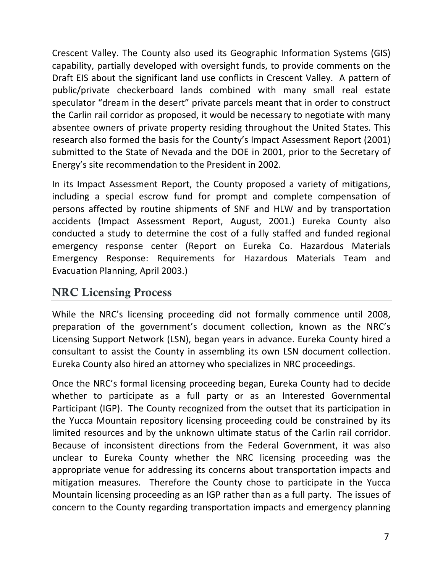Crescent Valley. The County also used its Geographic Information Systems (GIS) capability, partially developed with oversight funds, to provide comments on the Draft EIS about the significant land use conflicts in Crescent Valley. A pattern of public/private checkerboard lands combined with many small real estate speculator "dream in the desert" private parcels meant that in order to construct the Carlin rail corridor as proposed, it would be necessary to negotiate with many absentee owners of private property residing throughout the United States. This research also formed the basis for the County's Impact Assessment Report (2001) submitted to the State of Nevada and the DOE in 2001, prior to the Secretary of Energy's site recommendation to the President in 2002.

In its Impact Assessment Report, the County proposed a variety of mitigations, including a special escrow fund for prompt and complete compensation of persons affected by routine shipments of SNF and HLW and by transportation accidents (Impact Assessment Report, August, 2001.) Eureka County also conducted a study to determine the cost of a fully staffed and funded regional emergency response center (Report on Eureka Co. Hazardous Materials Emergency Response: Requirements for Hazardous Materials Team and Evacuation Planning, April 2003.)

# NRC Licensing Process

While the NRC's licensing proceeding did not formally commence until 2008, preparation of the government's document collection, known as the NRC's Licensing Support Network (LSN), began years in advance. Eureka County hired a consultant to assist the County in assembling its own LSN document collection. Eureka County also hired an attorney who specializes in NRC proceedings.

Once the NRC's formal licensing proceeding began, Eureka County had to decide whether to participate as a full party or as an Interested Governmental Participant (IGP). The County recognized from the outset that its participation in the Yucca Mountain repository licensing proceeding could be constrained by its limited resources and by the unknown ultimate status of the Carlin rail corridor. Because of inconsistent directions from the Federal Government, it was also unclear to Eureka County whether the NRC licensing proceeding was the appropriate venue for addressing its concerns about transportation impacts and mitigation measures. Therefore the County chose to participate in the Yucca Mountain licensing proceeding as an IGP rather than as a full party. The issues of concern to the County regarding transportation impacts and emergency planning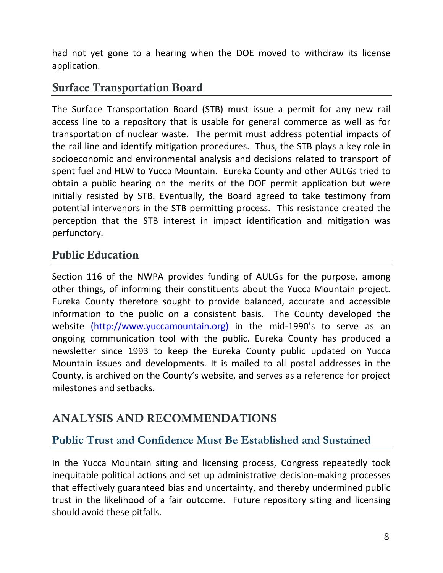had not yet gone to a hearing when the DOE moved to withdraw its license application.

### Surface Transportation Board

The Surface Transportation Board (STB) must issue a permit for any new rail access line to a repository that is usable for general commerce as well as for transportation of nuclear waste. The permit must address potential impacts of the rail line and identify mitigation procedures. Thus, the STB plays a key role in socioeconomic and environmental analysis and decisions related to transport of spent fuel and HLW to Yucca Mountain. Eureka County and other AULGs tried to obtain a public hearing on the merits of the DOE permit application but were initially resisted by STB. Eventually, the Board agreed to take testimony from potential intervenors in the STB permitting process. This resistance created the perception that the STB interest in impact identification and mitigation was perfunctory.

# Public Education

Section 116 of the NWPA provides funding of AULGs for the purpose, among other things, of informing their constituents about the Yucca Mountain project. Eureka County therefore sought to provide balanced, accurate and accessible information to the public on a consistent basis. The County developed the website (http://www.yuccamountain.org) in the mid-1990's to serve as an ongoing communication tool with the public. Eureka County has produced a newsletter since 1993 to keep the Eureka County public updated on Yucca Mountain issues and developments. It is mailed to all postal addresses in the County, is archived on the County's website, and serves as a reference for project milestones and setbacks.

# ANALYSIS AND RECOMMENDATIONS

### **Public Trust and Confidence Must Be Established and Sustained**

In the Yucca Mountain siting and licensing process, Congress repeatedly took inequitable political actions and set up administrative decision‐making processes that effectively guaranteed bias and uncertainty, and thereby undermined public trust in the likelihood of a fair outcome. Future repository siting and licensing should avoid these pitfalls.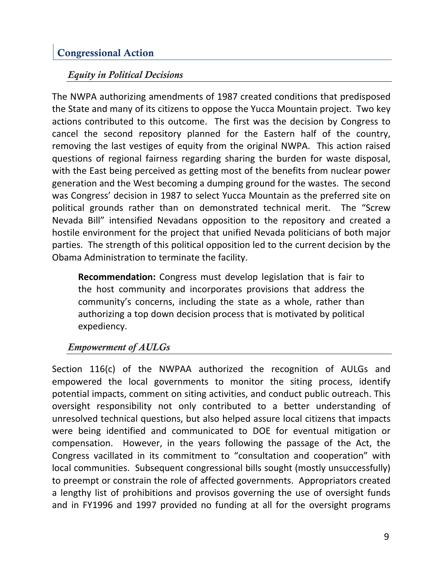### Congressional Action

#### *Equity in Political Decisions*

The NWPA authorizing amendments of 1987 created conditions that predisposed the State and many of its citizens to oppose the Yucca Mountain project. Two key actions contributed to this outcome. The first was the decision by Congress to cancel the second repository planned for the Eastern half of the country, removing the last vestiges of equity from the original NWPA. This action raised questions of regional fairness regarding sharing the burden for waste disposal, with the East being perceived as getting most of the benefits from nuclear power generation and the West becoming a dumping ground for the wastes. The second was Congress' decision in 1987 to select Yucca Mountain as the preferred site on political grounds rather than on demonstrated technical merit. The "Screw Nevada Bill" intensified Nevadans opposition to the repository and created a hostile environment for the project that unified Nevada politicians of both major parties. The strength of this political opposition led to the current decision by the Obama Administration to terminate the facility.

**Recommendation:** Congress must develop legislation that is fair to the host community and incorporates provisions that address the community's concerns, including the state as a whole, rather than authorizing a top down decision process that is motivated by political expediency.

#### *Empowerment of AULGs*

Section 116(c) of the NWPAA authorized the recognition of AULGs and empowered the local governments to monitor the siting process, identify potential impacts, comment on siting activities, and conduct public outreach. This oversight responsibility not only contributed to a better understanding of unresolved technical questions, but also helped assure local citizens that impacts were being identified and communicated to DOE for eventual mitigation or compensation. However, in the years following the passage of the Act, the Congress vacillated in its commitment to "consultation and cooperation" with local communities. Subsequent congressional bills sought (mostly unsuccessfully) to preempt or constrain the role of affected governments. Appropriators created a lengthy list of prohibitions and provisos governing the use of oversight funds and in FY1996 and 1997 provided no funding at all for the oversight programs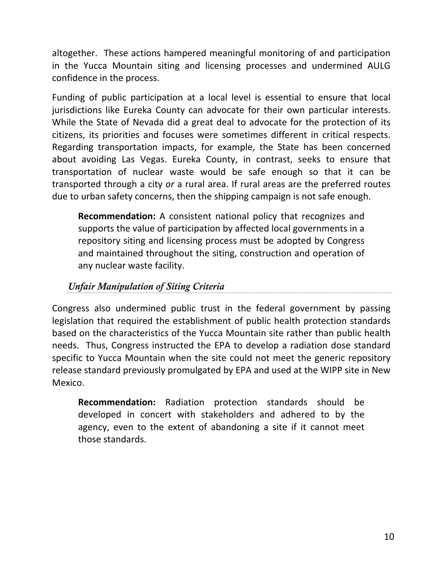altogether. These actions hampered meaningful monitoring of and participation in the Yucca Mountain siting and licensing processes and undermined AULG confidence in the process.

Funding of public participation at a local level is essential to ensure that local jurisdictions like Eureka County can advocate for their own particular interests. While the State of Nevada did a great deal to advocate for the protection of its citizens, its priorities and focuses were sometimes different in critical respects. Regarding transportation impacts, for example, the State has been concerned about avoiding Las Vegas. Eureka County, in contrast, seeks to ensure that transportation of nuclear waste would be safe enough so that it can be transported through a city *or* a rural area. If rural areas are the preferred routes due to urban safety concerns, then the shipping campaign is not safe enough.

**Recommendation:** A consistent national policy that recognizes and supports the value of participation by affected local governments in a repository siting and licensing process must be adopted by Congress and maintained throughout the siting, construction and operation of any nuclear waste facility.

#### *Unfair Manipulation of Siting Criteria*

Congress also undermined public trust in the federal government by passing legislation that required the establishment of public health protection standards based on the characteristics of the Yucca Mountain site rather than public health needs. Thus, Congress instructed the EPA to develop a radiation dose standard specific to Yucca Mountain when the site could not meet the generic repository release standard previously promulgated by EPA and used at the WIPP site in New Mexico.

**Recommendation:** Radiation protection standards should be developed in concert with stakeholders and adhered to by the agency, even to the extent of abandoning a site if it cannot meet those standards.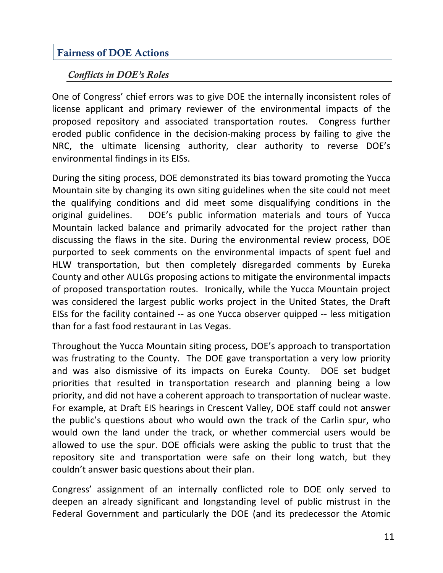### Fairness of DOE Actions

#### *Conflicts in DOE's Roles*

One of Congress' chief errors was to give DOE the internally inconsistent roles of license applicant and primary reviewer of the environmental impacts of the proposed repository and associated transportation routes. Congress further eroded public confidence in the decision‐making process by failing to give the NRC, the ultimate licensing authority, clear authority to reverse DOE's environmental findings in its EISs.

During the siting process, DOE demonstrated its bias toward promoting the Yucca Mountain site by changing its own siting guidelines when the site could not meet the qualifying conditions and did meet some disqualifying conditions in the original guidelines. DOE's public information materials and tours of Yucca Mountain lacked balance and primarily advocated for the project rather than discussing the flaws in the site. During the environmental review process, DOE purported to seek comments on the environmental impacts of spent fuel and HLW transportation, but then completely disregarded comments by Eureka County and other AULGs proposing actions to mitigate the environmental impacts of proposed transportation routes. Ironically, while the Yucca Mountain project was considered the largest public works project in the United States, the Draft EISs for the facility contained ‐‐ as one Yucca observer quipped ‐‐ less mitigation than for a fast food restaurant in Las Vegas.

Throughout the Yucca Mountain siting process, DOE's approach to transportation was frustrating to the County. The DOE gave transportation a very low priority and was also dismissive of its impacts on Eureka County. DOE set budget priorities that resulted in transportation research and planning being a low priority, and did not have a coherent approach to transportation of nuclear waste. For example, at Draft EIS hearings in Crescent Valley, DOE staff could not answer the public's questions about who would own the track of the Carlin spur, who would own the land under the track, or whether commercial users would be allowed to use the spur. DOE officials were asking the public to trust that the repository site and transportation were safe on their long watch, but they couldn't answer basic questions about their plan.

Congress' assignment of an internally conflicted role to DOE only served to deepen an already significant and longstanding level of public mistrust in the Federal Government and particularly the DOE (and its predecessor the Atomic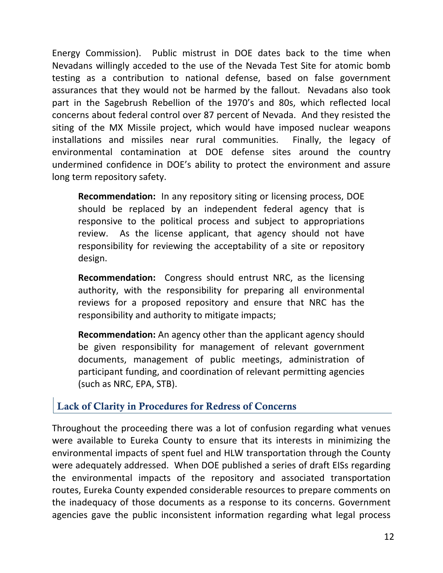Energy Commission). Public mistrust in DOE dates back to the time when Nevadans willingly acceded to the use of the Nevada Test Site for atomic bomb testing as a contribution to national defense, based on false government assurances that they would not be harmed by the fallout. Nevadans also took part in the Sagebrush Rebellion of the 1970's and 80s, which reflected local concerns about federal control over 87 percent of Nevada. And they resisted the siting of the MX Missile project, which would have imposed nuclear weapons installations and missiles near rural communities. Finally, the legacy of environmental contamination at DOE defense sites around the country undermined confidence in DOE's ability to protect the environment and assure long term repository safety.

**Recommendation:** In any repository siting or licensing process, DOE should be replaced by an independent federal agency that is responsive to the political process and subject to appropriations review. As the license applicant, that agency should not have responsibility for reviewing the acceptability of a site or repository design.

**Recommendation:** Congress should entrust NRC, as the licensing authority, with the responsibility for preparing all environmental reviews for a proposed repository and ensure that NRC has the responsibility and authority to mitigate impacts;

**Recommendation:** An agency other than the applicant agency should be given responsibility for management of relevant government documents, management of public meetings, administration of participant funding, and coordination of relevant permitting agencies (such as NRC, EPA, STB).

#### Lack of Clarity in Procedures for Redress of Concerns

Throughout the proceeding there was a lot of confusion regarding what venues were available to Eureka County to ensure that its interests in minimizing the environmental impacts of spent fuel and HLW transportation through the County were adequately addressed. When DOE published a series of draft EISs regarding the environmental impacts of the repository and associated transportation routes, Eureka County expended considerable resources to prepare comments on the inadequacy of those documents as a response to its concerns. Government agencies gave the public inconsistent information regarding what legal process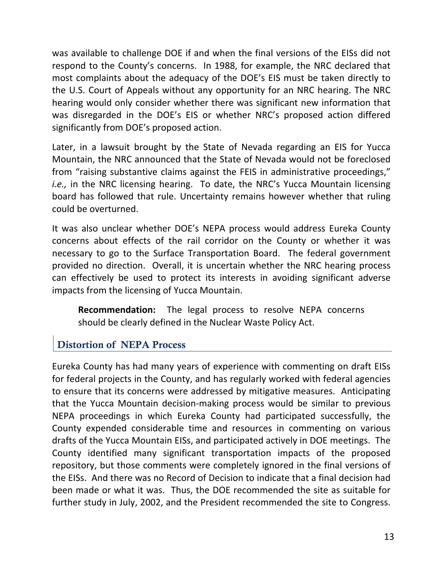was available to challenge DOE if and when the final versions of the EISs did not respond to the County's concerns. In 1988, for example, the NRC declared that most complaints about the adequacy of the DOE's EIS must be taken directly to the U.S. Court of Appeals without any opportunity for an NRC hearing. The NRC hearing would only consider whether there was significant new information that was disregarded in the DOE's EIS or whether NRC's proposed action differed significantly from DOE's proposed action.

Later, in a lawsuit brought by the State of Nevada regarding an EIS for Yucca Mountain, the NRC announced that the State of Nevada would not be foreclosed from "raising substantive claims against the FEIS in administrative proceedings," *i.e.*, in the NRC licensing hearing. To date, the NRC's Yucca Mountain licensing board has followed that rule. Uncertainty remains however whether that ruling could be overturned.

It was also unclear whether DOE's NEPA process would address Eureka County concerns about effects of the rail corridor on the County or whether it was necessary to go to the Surface Transportation Board. The federal government provided no direction. Overall, it is uncertain whether the NRC hearing process can effectively be used to protect its interests in avoiding significant adverse impacts from the licensing of Yucca Mountain.

**Recommendation:** The legal process to resolve NEPA concerns should be clearly defined in the Nuclear Waste Policy Act.

#### Distortion of NEPA Process

Eureka County has had many years of experience with commenting on draft EISs for federal projects in the County, and has regularly worked with federal agencies to ensure that its concerns were addressed by mitigative measures. Anticipating that the Yucca Mountain decision‐making process would be similar to previous NEPA proceedings in which Eureka County had participated successfully, the County expended considerable time and resources in commenting on various drafts of the Yucca Mountain EISs, and participated actively in DOE meetings. The County identified many significant transportation impacts of the proposed repository, but those comments were completely ignored in the final versions of the EISs. And there was no Record of Decision to indicate that a final decision had been made or what it was. Thus, the DOE recommended the site as suitable for further study in July, 2002, and the President recommended the site to Congress.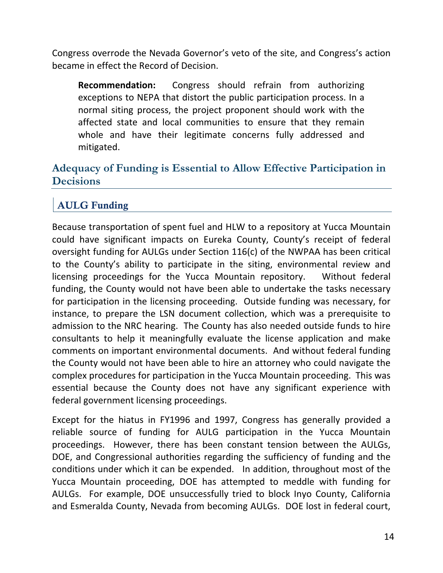Congress overrode the Nevada Governor's veto of the site, and Congress's action became in effect the Record of Decision.

**Recommendation:** Congress should refrain from authorizing exceptions to NEPA that distort the public participation process. In a normal siting process, the project proponent should work with the affected state and local communities to ensure that they remain whole and have their legitimate concerns fully addressed and mitigated.

#### **Adequacy of Funding is Essential to Allow Effective Participation in Decisions**

### AULG Funding

Because transportation of spent fuel and HLW to a repository at Yucca Mountain could have significant impacts on Eureka County, County's receipt of federal oversight funding for AULGs under Section 116(c) of the NWPAA has been critical to the County's ability to participate in the siting, environmental review and licensing proceedings for the Yucca Mountain repository. Without federal funding, the County would not have been able to undertake the tasks necessary for participation in the licensing proceeding. Outside funding was necessary, for instance, to prepare the LSN document collection, which was a prerequisite to admission to the NRC hearing. The County has also needed outside funds to hire consultants to help it meaningfully evaluate the license application and make comments on important environmental documents. And without federal funding the County would not have been able to hire an attorney who could navigate the complex procedures for participation in the Yucca Mountain proceeding. This was essential because the County does not have any significant experience with federal government licensing proceedings.

Except for the hiatus in FY1996 and 1997, Congress has generally provided a reliable source of funding for AULG participation in the Yucca Mountain proceedings. However, there has been constant tension between the AULGs, DOE, and Congressional authorities regarding the sufficiency of funding and the conditions under which it can be expended. In addition, throughout most of the Yucca Mountain proceeding, DOE has attempted to meddle with funding for AULGs. For example, DOE unsuccessfully tried to block Inyo County, California and Esmeralda County, Nevada from becoming AULGs. DOE lost in federal court,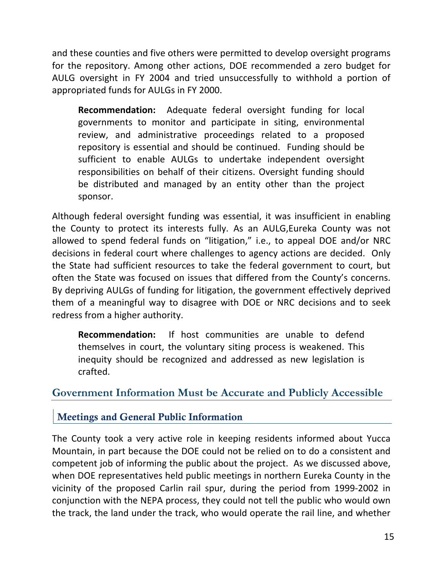and these counties and five others were permitted to develop oversight programs for the repository. Among other actions, DOE recommended a zero budget for AULG oversight in FY 2004 and tried unsuccessfully to withhold a portion of appropriated funds for AULGs in FY 2000.

**Recommendation:** Adequate federal oversight funding for local governments to monitor and participate in siting, environmental review, and administrative proceedings related to a proposed repository is essential and should be continued. Funding should be sufficient to enable AULGs to undertake independent oversight responsibilities on behalf of their citizens. Oversight funding should be distributed and managed by an entity other than the project sponsor.

Although federal oversight funding was essential, it was insufficient in enabling the County to protect its interests fully. As an AULG,Eureka County was not allowed to spend federal funds on "litigation," i.e., to appeal DOE and/or NRC decisions in federal court where challenges to agency actions are decided. Only the State had sufficient resources to take the federal government to court, but often the State was focused on issues that differed from the County's concerns. By depriving AULGs of funding for litigation, the government effectively deprived them of a meaningful way to disagree with DOE or NRC decisions and to seek redress from a higher authority.

**Recommendation:** If host communities are unable to defend themselves in court, the voluntary siting process is weakened. This inequity should be recognized and addressed as new legislation is crafted.

#### **Government Information Must be Accurate and Publicly Accessible**

Meetings and General Public Information

The County took a very active role in keeping residents informed about Yucca Mountain, in part because the DOE could not be relied on to do a consistent and competent job of informing the public about the project. As we discussed above, when DOE representatives held public meetings in northern Eureka County in the vicinity of the proposed Carlin rail spur, during the period from 1999‐2002 in conjunction with the NEPA process, they could not tell the public who would own the track, the land under the track, who would operate the rail line, and whether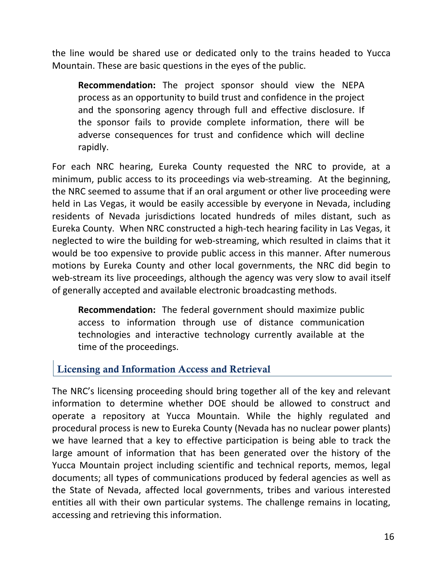the line would be shared use or dedicated only to the trains headed to Yucca Mountain. These are basic questions in the eyes of the public.

**Recommendation:** The project sponsor should view the NEPA process as an opportunity to build trust and confidence in the project and the sponsoring agency through full and effective disclosure. If the sponsor fails to provide complete information, there will be adverse consequences for trust and confidence which will decline rapidly.

For each NRC hearing, Eureka County requested the NRC to provide, at a minimum, public access to its proceedings via web‐streaming. At the beginning, the NRC seemed to assume that if an oral argument or other live proceeding were held in Las Vegas, it would be easily accessible by everyone in Nevada, including residents of Nevada jurisdictions located hundreds of miles distant, such as Eureka County. When NRC constructed a high‐tech hearing facility in Las Vegas, it neglected to wire the building for web‐streaming, which resulted in claims that it would be too expensive to provide public access in this manner. After numerous motions by Eureka County and other local governments, the NRC did begin to web-stream its live proceedings, although the agency was very slow to avail itself of generally accepted and available electronic broadcasting methods.

**Recommendation:** The federal government should maximize public access to information through use of distance communication technologies and interactive technology currently available at the time of the proceedings.

#### Licensing and Information Access and Retrieval

The NRC's licensing proceeding should bring together all of the key and relevant information to determine whether DOE should be allowed to construct and operate a repository at Yucca Mountain. While the highly regulated and procedural process is new to Eureka County (Nevada has no nuclear power plants) we have learned that a key to effective participation is being able to track the large amount of information that has been generated over the history of the Yucca Mountain project including scientific and technical reports, memos, legal documents; all types of communications produced by federal agencies as well as the State of Nevada, affected local governments, tribes and various interested entities all with their own particular systems. The challenge remains in locating, accessing and retrieving this information.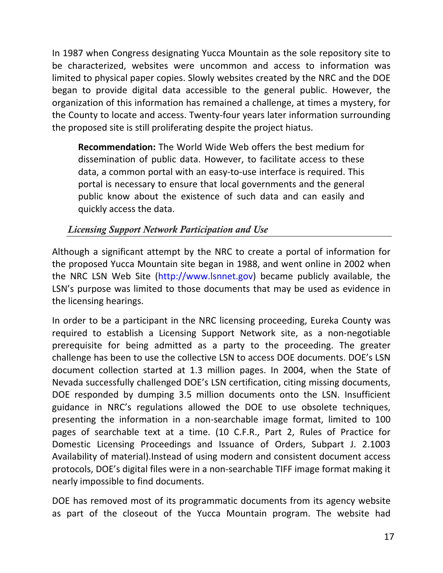In 1987 when Congress designating Yucca Mountain as the sole repository site to be characterized, websites were uncommon and access to information was limited to physical paper copies. Slowly websites created by the NRC and the DOE began to provide digital data accessible to the general public. However, the organization of this information has remained a challenge, at times a mystery, for the County to locate and access. Twenty‐four years later information surrounding the proposed site is still proliferating despite the project hiatus.

**Recommendation:** The World Wide Web offers the best medium for dissemination of public data. However, to facilitate access to these data, a common portal with an easy‐to‐use interface is required. This portal is necessary to ensure that local governments and the general public know about the existence of such data and can easily and quickly access the data.

#### *Licensing Support Network Participation and Use*

Although a significant attempt by the NRC to create a portal of information for the proposed Yucca Mountain site began in 1988, and went online in 2002 when the NRC LSN Web Site (http://www.lsnnet.gov) became publicly available, the LSN's purpose was limited to those documents that may be used as evidence in the licensing hearings.

In order to be a participant in the NRC licensing proceeding, Eureka County was required to establish a Licensing Support Network site, as a non‐negotiable prerequisite for being admitted as a party to the proceeding. The greater challenge has been to use the collective LSN to access DOE documents. DOE's LSN document collection started at 1.3 million pages. In 2004, when the State of Nevada successfully challenged DOE's LSN certification, citing missing documents, DOE responded by dumping 3.5 million documents onto the LSN. Insufficient guidance in NRC's regulations allowed the DOE to use obsolete techniques, presenting the information in a non‐searchable image format, limited to 100 pages of searchable text at a time. (10 C.F.R., Part 2, Rules of Practice for Domestic Licensing Proceedings and Issuance of Orders, Subpart J. 2.1003 Availability of material).Instead of using modern and consistent document access protocols, DOE's digital files were in a non‐searchable TIFF image format making it nearly impossible to find documents.

DOE has removed most of its programmatic documents from its agency website as part of the closeout of the Yucca Mountain program. The website had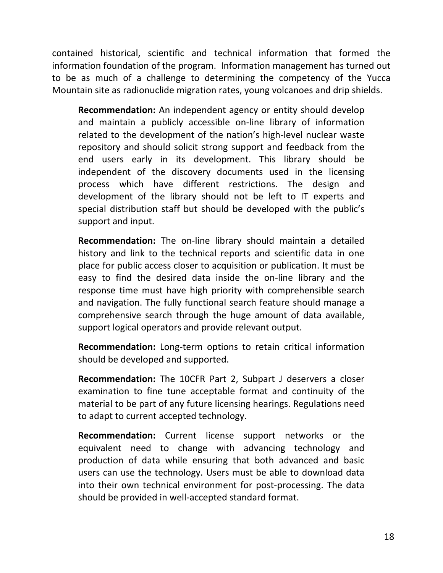contained historical, scientific and technical information that formed the information foundation of the program. Information management has turned out to be as much of a challenge to determining the competency of the Yucca Mountain site as radionuclide migration rates, young volcanoes and drip shields.

**Recommendation:** An independent agency or entity should develop and maintain a publicly accessible on‐line library of information related to the development of the nation's high‐level nuclear waste repository and should solicit strong support and feedback from the end users early in its development. This library should be independent of the discovery documents used in the licensing process which have different restrictions. The design and development of the library should not be left to IT experts and special distribution staff but should be developed with the public's support and input.

**Recommendation:** The on‐line library should maintain a detailed history and link to the technical reports and scientific data in one place for public access closer to acquisition or publication. It must be easy to find the desired data inside the on‐line library and the response time must have high priority with comprehensible search and navigation. The fully functional search feature should manage a comprehensive search through the huge amount of data available, support logical operators and provide relevant output.

**Recommendation:** Long‐term options to retain critical information should be developed and supported.

**Recommendation:** The 10CFR Part 2, Subpart J deservers a closer examination to fine tune acceptable format and continuity of the material to be part of any future licensing hearings. Regulations need to adapt to current accepted technology.

**Recommendation:** Current license support networks or the equivalent need to change with advancing technology and production of data while ensuring that both advanced and basic users can use the technology. Users must be able to download data into their own technical environment for post‐processing. The data should be provided in well‐accepted standard format.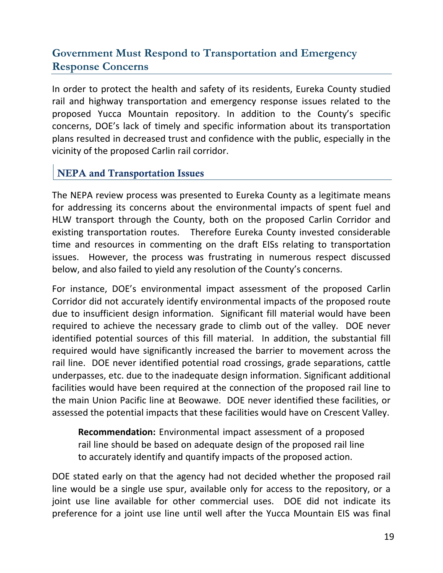#### **Government Must Respond to Transportation and Emergency Response Concerns**

In order to protect the health and safety of its residents, Eureka County studied rail and highway transportation and emergency response issues related to the proposed Yucca Mountain repository. In addition to the County's specific concerns, DOE's lack of timely and specific information about its transportation plans resulted in decreased trust and confidence with the public, especially in the vicinity of the proposed Carlin rail corridor.

#### NEPA and Transportation Issues

The NEPA review process was presented to Eureka County as a legitimate means for addressing its concerns about the environmental impacts of spent fuel and HLW transport through the County, both on the proposed Carlin Corridor and existing transportation routes. Therefore Eureka County invested considerable time and resources in commenting on the draft EISs relating to transportation issues. However, the process was frustrating in numerous respect discussed below, and also failed to yield any resolution of the County's concerns.

For instance, DOE's environmental impact assessment of the proposed Carlin Corridor did not accurately identify environmental impacts of the proposed route due to insufficient design information. Significant fill material would have been required to achieve the necessary grade to climb out of the valley. DOE never identified potential sources of this fill material. In addition, the substantial fill required would have significantly increased the barrier to movement across the rail line. DOE never identified potential road crossings, grade separations, cattle underpasses, etc. due to the inadequate design information. Significant additional facilities would have been required at the connection of the proposed rail line to the main Union Pacific line at Beowawe. DOE never identified these facilities, or assessed the potential impacts that these facilities would have on Crescent Valley.

**Recommendation:** Environmental impact assessment of a proposed rail line should be based on adequate design of the proposed rail line to accurately identify and quantify impacts of the proposed action.

DOE stated early on that the agency had not decided whether the proposed rail line would be a single use spur, available only for access to the repository, or a joint use line available for other commercial uses. DOE did not indicate its preference for a joint use line until well after the Yucca Mountain EIS was final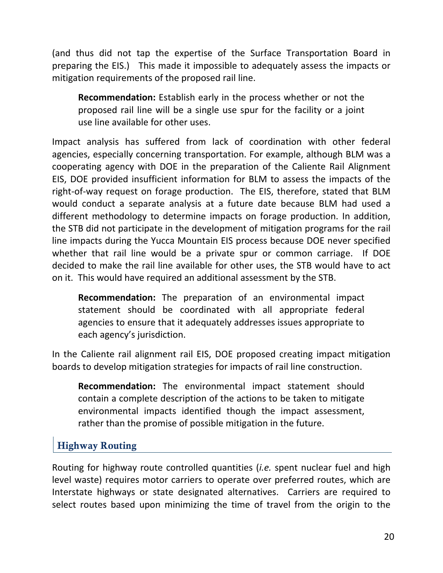(and thus did not tap the expertise of the Surface Transportation Board in preparing the EIS.) This made it impossible to adequately assess the impacts or mitigation requirements of the proposed rail line.

**Recommendation:** Establish early in the process whether or not the proposed rail line will be a single use spur for the facility or a joint use line available for other uses.

Impact analysis has suffered from lack of coordination with other federal agencies, especially concerning transportation. For example, although BLM was a cooperating agency with DOE in the preparation of the Caliente Rail Alignment EIS, DOE provided insufficient information for BLM to assess the impacts of the right‐of‐way request on forage production. The EIS, therefore, stated that BLM would conduct a separate analysis at a future date because BLM had used a different methodology to determine impacts on forage production. In addition, the STB did not participate in the development of mitigation programs for the rail line impacts during the Yucca Mountain EIS process because DOE never specified whether that rail line would be a private spur or common carriage. If DOE decided to make the rail line available for other uses, the STB would have to act on it. This would have required an additional assessment by the STB.

**Recommendation:** The preparation of an environmental impact statement should be coordinated with all appropriate federal agencies to ensure that it adequately addresses issues appropriate to each agency's jurisdiction.

In the Caliente rail alignment rail EIS, DOE proposed creating impact mitigation boards to develop mitigation strategies for impacts of rail line construction.

**Recommendation:** The environmental impact statement should contain a complete description of the actions to be taken to mitigate environmental impacts identified though the impact assessment, rather than the promise of possible mitigation in the future.

#### Highway Routing

Routing for highway route controlled quantities (*i.e.* spent nuclear fuel and high level waste) requires motor carriers to operate over preferred routes, which are Interstate highways or state designated alternatives. Carriers are required to select routes based upon minimizing the time of travel from the origin to the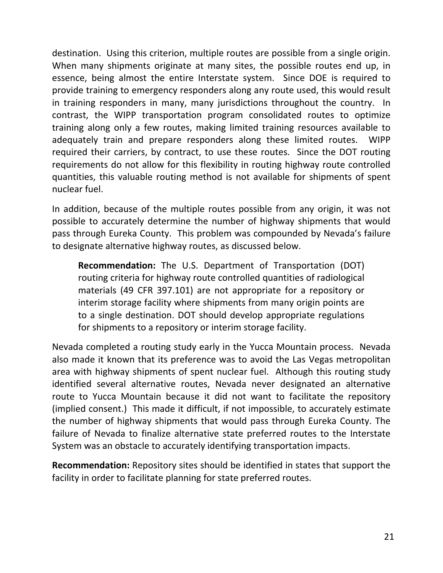destination. Using this criterion, multiple routes are possible from a single origin. When many shipments originate at many sites, the possible routes end up, in essence, being almost the entire Interstate system. Since DOE is required to provide training to emergency responders along any route used, this would result in training responders in many, many jurisdictions throughout the country. In contrast, the WIPP transportation program consolidated routes to optimize training along only a few routes, making limited training resources available to adequately train and prepare responders along these limited routes. WIPP required their carriers, by contract, to use these routes. Since the DOT routing requirements do not allow for this flexibility in routing highway route controlled quantities, this valuable routing method is not available for shipments of spent nuclear fuel.

In addition, because of the multiple routes possible from any origin, it was not possible to accurately determine the number of highway shipments that would pass through Eureka County. This problem was compounded by Nevada's failure to designate alternative highway routes, as discussed below.

**Recommendation:** The U.S. Department of Transportation (DOT) routing criteria for highway route controlled quantities of radiological materials (49 CFR 397.101) are not appropriate for a repository or interim storage facility where shipments from many origin points are to a single destination. DOT should develop appropriate regulations for shipments to a repository or interim storage facility.

Nevada completed a routing study early in the Yucca Mountain process. Nevada also made it known that its preference was to avoid the Las Vegas metropolitan area with highway shipments of spent nuclear fuel. Although this routing study identified several alternative routes, Nevada never designated an alternative route to Yucca Mountain because it did not want to facilitate the repository (implied consent.) This made it difficult, if not impossible, to accurately estimate the number of highway shipments that would pass through Eureka County. The failure of Nevada to finalize alternative state preferred routes to the Interstate System was an obstacle to accurately identifying transportation impacts.

**Recommendation:** Repository sites should be identified in states that support the facility in order to facilitate planning for state preferred routes.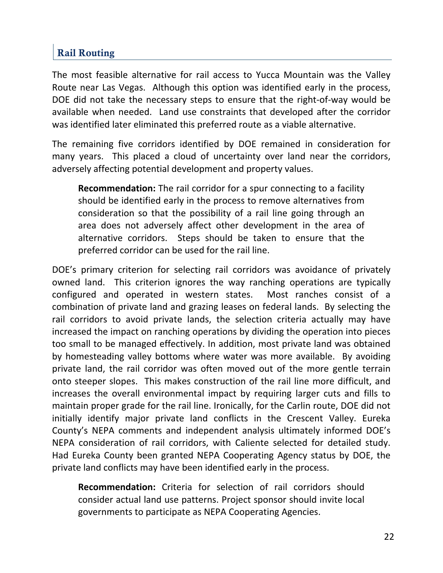### Rail Routing

The most feasible alternative for rail access to Yucca Mountain was the Valley Route near Las Vegas. Although this option was identified early in the process, DOE did not take the necessary steps to ensure that the right‐of‐way would be available when needed. Land use constraints that developed after the corridor was identified later eliminated this preferred route as a viable alternative.

The remaining five corridors identified by DOE remained in consideration for many years. This placed a cloud of uncertainty over land near the corridors, adversely affecting potential development and property values.

**Recommendation:** The rail corridor for a spur connecting to a facility should be identified early in the process to remove alternatives from consideration so that the possibility of a rail line going through an area does not adversely affect other development in the area of alternative corridors. Steps should be taken to ensure that the preferred corridor can be used for the rail line.

DOE's primary criterion for selecting rail corridors was avoidance of privately owned land. This criterion ignores the way ranching operations are typically configured and operated in western states. Most ranches consist of a combination of private land and grazing leases on federal lands. By selecting the rail corridors to avoid private lands, the selection criteria actually may have increased the impact on ranching operations by dividing the operation into pieces too small to be managed effectively. In addition, most private land was obtained by homesteading valley bottoms where water was more available. By avoiding private land, the rail corridor was often moved out of the more gentle terrain onto steeper slopes. This makes construction of the rail line more difficult, and increases the overall environmental impact by requiring larger cuts and fills to maintain proper grade for the rail line. Ironically, for the Carlin route, DOE did not initially identify major private land conflicts in the Crescent Valley. Eureka County's NEPA comments and independent analysis ultimately informed DOE's NEPA consideration of rail corridors, with Caliente selected for detailed study. Had Eureka County been granted NEPA Cooperating Agency status by DOE, the private land conflicts may have been identified early in the process.

**Recommendation:** Criteria for selection of rail corridors should consider actual land use patterns. Project sponsor should invite local governments to participate as NEPA Cooperating Agencies.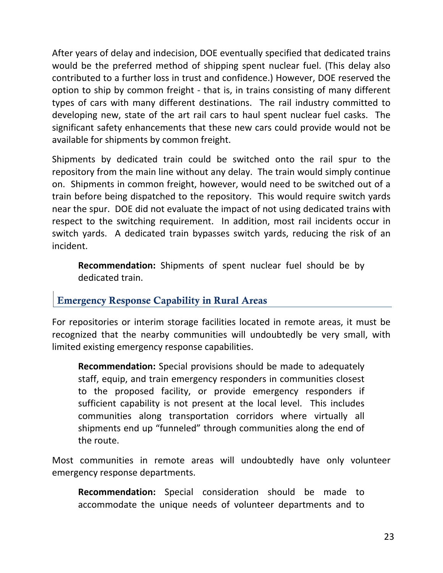After years of delay and indecision, DOE eventually specified that dedicated trains would be the preferred method of shipping spent nuclear fuel. (This delay also contributed to a further loss in trust and confidence.) However, DOE reserved the option to ship by common freight ‐ that is, in trains consisting of many different types of cars with many different destinations. The rail industry committed to developing new, state of the art rail cars to haul spent nuclear fuel casks. The significant safety enhancements that these new cars could provide would not be available for shipments by common freight.

Shipments by dedicated train could be switched onto the rail spur to the repository from the main line without any delay. The train would simply continue on. Shipments in common freight, however, would need to be switched out of a train before being dispatched to the repository. This would require switch yards near the spur. DOE did not evaluate the impact of not using dedicated trains with respect to the switching requirement. In addition, most rail incidents occur in switch yards. A dedicated train bypasses switch yards, reducing the risk of an incident.

**Recommendation:** Shipments of spent nuclear fuel should be by dedicated train.

#### Emergency Response Capability in Rural Areas

For repositories or interim storage facilities located in remote areas, it must be recognized that the nearby communities will undoubtedly be very small, with limited existing emergency response capabilities.

**Recommendation:** Special provisions should be made to adequately staff, equip, and train emergency responders in communities closest to the proposed facility, or provide emergency responders if sufficient capability is not present at the local level. This includes communities along transportation corridors where virtually all shipments end up "funneled" through communities along the end of the route.

Most communities in remote areas will undoubtedly have only volunteer emergency response departments.

**Recommendation:** Special consideration should be made to accommodate the unique needs of volunteer departments and to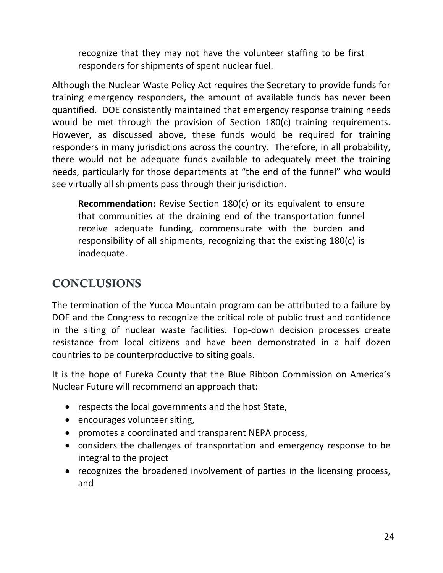recognize that they may not have the volunteer staffing to be first responders for shipments of spent nuclear fuel.

Although the Nuclear Waste Policy Act requires the Secretary to provide funds for training emergency responders, the amount of available funds has never been quantified. DOE consistently maintained that emergency response training needs would be met through the provision of Section 180(c) training requirements. However, as discussed above, these funds would be required for training responders in many jurisdictions across the country. Therefore, in all probability, there would not be adequate funds available to adequately meet the training needs, particularly for those departments at "the end of the funnel" who would see virtually all shipments pass through their jurisdiction.

**Recommendation:** Revise Section 180(c) or its equivalent to ensure that communities at the draining end of the transportation funnel receive adequate funding, commensurate with the burden and responsibility of all shipments, recognizing that the existing 180(c) is inadequate.

# CONCLUSIONS

The termination of the Yucca Mountain program can be attributed to a failure by DOE and the Congress to recognize the critical role of public trust and confidence in the siting of nuclear waste facilities. Top‐down decision processes create resistance from local citizens and have been demonstrated in a half dozen countries to be counterproductive to siting goals.

It is the hope of Eureka County that the Blue Ribbon Commission on America's Nuclear Future will recommend an approach that:

- respects the local governments and the host State,
- encourages volunteer siting,
- promotes a coordinated and transparent NEPA process,
- considers the challenges of transportation and emergency response to be integral to the project
- recognizes the broadened involvement of parties in the licensing process, and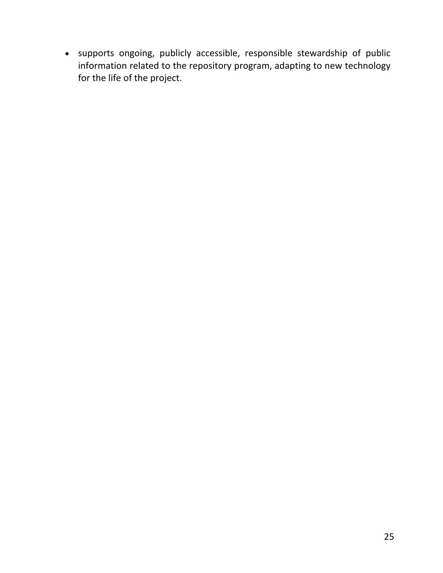• supports ongoing, publicly accessible, responsible stewardship of public information related to the repository program, adapting to new technology for the life of the project.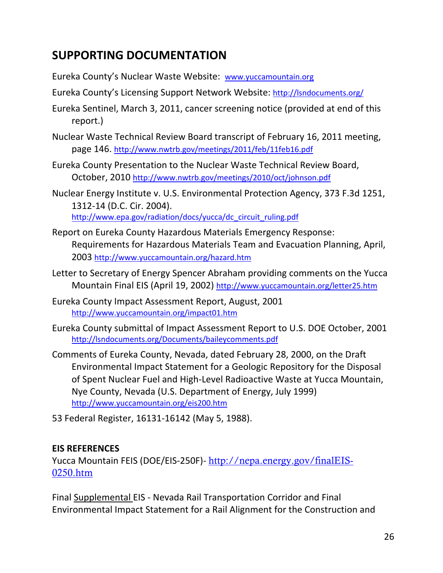# **SUPPORTING DOCUMENTATION**

Eureka County's Nuclear Waste Website: www.yuccamountain.org

Eureka County's Licensing Support Network Website: http://lsndocuments.org/

Eureka Sentinel, March 3, 2011, cancer screening notice (provided at end of this report.)

- Nuclear Waste Technical Review Board transcript of February 16, 2011 meeting, page 146. http://www.nwtrb.gov/meetings/2011/feb/11feb16.pdf
- Eureka County Presentation to the Nuclear Waste Technical Review Board, October, 2010 http://www.nwtrb.gov/meetings/2010/oct/johnson.pdf
- Nuclear Energy Institute v. U.S. Environmental Protection Agency, 373 F.3d 1251, 1312‐14 (D.C. Cir. 2004). http://www.epa.gov/radiation/docs/yucca/dc\_circuit\_ruling.pdf
- Report on Eureka County Hazardous Materials Emergency Response: Requirements for Hazardous Materials Team and Evacuation Planning, April, 2003 http://www.yuccamountain.org/hazard.htm
- Letter to Secretary of Energy Spencer Abraham providing comments on the Yucca Mountain Final EIS (April 19, 2002) http://www.yuccamountain.org/letter25.htm
- Eureka County Impact Assessment Report, August, 2001 http://www.yuccamountain.org/impact01.htm
- Eureka County submittal of Impact Assessment Report to U.S. DOE October, 2001 http://lsndocuments.org/Documents/baileycomments.pdf
- Comments of Eureka County, Nevada, dated February 28, 2000, on the Draft Environmental Impact Statement for a Geologic Repository for the Disposal of Spent Nuclear Fuel and High‐Level Radioactive Waste at Yucca Mountain, Nye County, Nevada (U.S. Department of Energy, July 1999) http://www.yuccamountain.org/eis200.htm
- 53 Federal Register, 16131‐16142 (May 5, 1988).

#### **EIS REFERENCES**

Yucca Mountain FEIS (DOE/EIS-250F) - http://nepa.energy.gov/finalEIS-0250.htm

Final Supplemental EIS ‐ Nevada Rail Transportation Corridor and Final Environmental Impact Statement for a Rail Alignment for the Construction and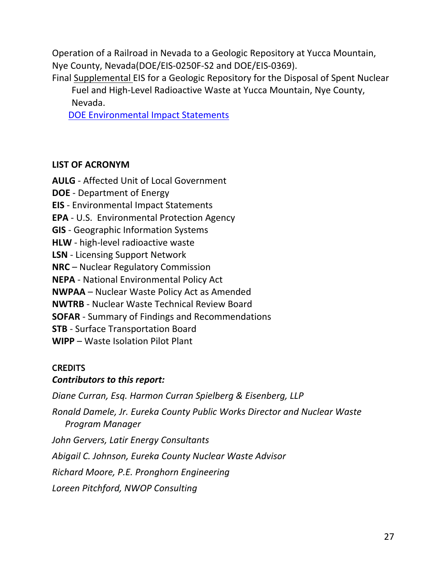Operation of a Railroad in Nevada to a Geologic Repository at Yucca Mountain, Nye County, Nevada(DOE/EIS‐0250F‐S2 and DOE/EIS‐0369).

Final Supplemental EIS for a Geologic Repository for the Disposal of Spent Nuclear Fuel and High‐Level Radioactive Waste at Yucca Mountain, Nye County, Nevada.

DOE Environmental Impact Statements

#### **LIST OF ACRONYM**

**AULG** ‐ Affected Unit of Local Government **DOE** ‐ Department of Energy **EIS** ‐ Environmental Impact Statements **EPA** ‐ U.S. Environmental Protection Agency **GIS** ‐ Geographic Information Systems **HLW** ‐ high‐level radioactive waste **LSN** ‐ Licensing Support Network **NRC** – Nuclear Regulatory Commission **NEPA** ‐ National Environmental Policy Act **NWPAA** – Nuclear Waste Policy Act as Amended **NWTRB** ‐ Nuclear Waste Technical Review Board **SOFAR** ‐ Summary of Findings and Recommendations **STB** ‐ Surface Transportation Board **WIPP** – Waste Isolation Pilot Plant

#### **CREDITS**

#### *Contributors to this report:*

*Diane Curran, Esq. Harmon Curran Spielberg & Eisenberg, LLP*

*Ronald Damele, Jr. Eureka County Public Works Director and Nuclear Waste Program Manager*

*John Gervers, Latir Energy Consultants*

*Abigail C. Johnson, Eureka County Nuclear Waste Advisor*

*Richard Moore, P.E. Pronghorn Engineering*

*Loreen Pitchford, NWOP Consulting*